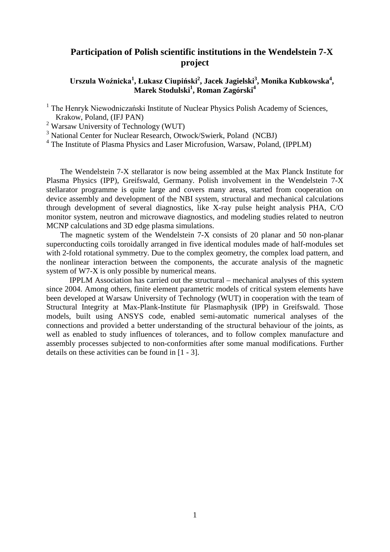## **Participation of Polish scientific institutions in the Wendelstein 7-X project**

**Urszula Woźnicka<sup>1</sup> , Łukasz Ciupiński<sup>2</sup> , Jacek Jagielski<sup>3</sup> , Monika Kubkowska4 , Marek Stodulski1 , Roman Zagórski<sup>4</sup>**

<sup>1</sup> The Henryk Niewodniczański Institute of Nuclear Physics Polish Academy of Sciences, Krakow, Poland, (IFJ PAN)

<sup>2</sup> Warsaw University of Technology (WUT)

<sup>3</sup> National Center for Nuclear Research, Otwock/Swierk, Poland (NCBJ)

<sup>4</sup> The Institute of Plasma Physics and Laser Microfusion, Warsaw, Poland, (IPPLM)

The Wendelstein 7-X stellarator is now being assembled at the Max Planck Institute for Plasma Physics (IPP), Greifswald, Germany. Polish involvement in the Wendelstein 7-X stellarator programme is quite large and covers many areas, started from cooperation on device assembly and development of the NBI system, structural and mechanical calculations through development of several diagnostics, like X-ray pulse height analysis PHA, C/O monitor system, neutron and microwave diagnostics, and modeling studies related to neutron MCNP calculations and 3D edge plasma simulations.

The magnetic system of the Wendelstein 7-X consists of 20 planar and 50 non-planar superconducting coils toroidally arranged in five identical modules made of half-modules set with 2-fold rotational symmetry. Due to the complex geometry, the complex load pattern, and the nonlinear interaction between the components, the accurate analysis of the magnetic system of W7-X is only possible by numerical means.

IPPLM Association has carried out the structural – mechanical analyses of this system since 2004. Among others, finite element parametric models of critical system elements have been developed at Warsaw University of Technology (WUT) in cooperation with the team of Structural Integrity at Max-Plank-Institute für Plasmaphysik (IPP) in Greifswald. Those models, built using ANSYS code, enabled semi-automatic numerical analyses of the connections and provided a better understanding of the structural behaviour of the joints, as well as enabled to study influences of tolerances, and to follow complex manufacture and assembly processes subjected to non-conformities after some manual modifications. Further details on these activities can be found in [1 - 3].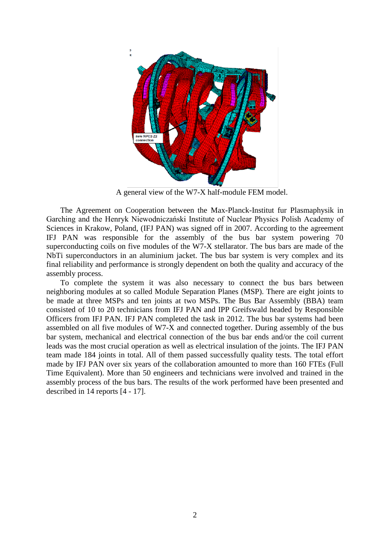

A general view of the W7-X half-module FEM model.

The Agreement on Cooperation between the Max-Planck-Institut fur Plasmaphysik in Garching and the Henryk Niewodniczański Institute of Nuclear Physics Polish Academy of Sciences in Krakow, Poland, (IFJ PAN) was signed off in 2007. According to the agreement IFJ PAN was responsible for the assembly of the bus bar system powering 70 superconducting coils on five modules of the W7-X stellarator. The bus bars are made of the NbTi superconductors in an aluminium jacket. The bus bar system is very complex and its final reliability and performance is strongly dependent on both the quality and accuracy of the assembly process.

To complete the system it was also necessary to connect the bus bars between neighboring modules at so called Module Separation Planes (MSP). There are eight joints to be made at three MSPs and ten joints at two MSPs. The Bus Bar Assembly (BBA) team consisted of 10 to 20 technicians from IFJ PAN and IPP Greifswald headed by Responsible Officers from IFJ PAN. IFJ PAN completed the task in 2012. The bus bar systems had been assembled on all five modules of W7-X and connected together. During assembly of the bus bar system, mechanical and electrical connection of the bus bar ends and/or the coil current leads was the most crucial operation as well as electrical insulation of the joints. The IFJ PAN team made 184 joints in total. All of them passed successfully quality tests. The total effort made by IFJ PAN over six years of the collaboration amounted to more than 160 FTEs (Full Time Equivalent). More than 50 engineers and technicians were involved and trained in the assembly process of the bus bars. The results of the work performed have been presented and described in 14 reports [4 - 17].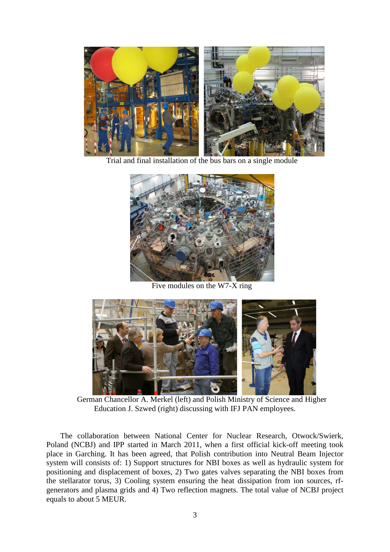

Trial and final installation of the bus bars on a single module



Five modules on the W7-X ring



 German Chancellor A. Merkel (left) and Polish Ministry of Science and Higher Education J. Szwed (right) discussing with IFJ PAN employees.

The collaboration between National Center for Nuclear Research, Otwock/Swierk, Poland (NCBJ) and IPP started in March 2011, when a first official kick-off meeting took place in Garching. It has been agreed, that Polish contribution into Neutral Beam Injector system will consists of: 1) Support structures for NBI boxes as well as hydraulic system for positioning and displacement of boxes, 2) Two gates valves separating the NBI boxes from the stellarator torus, 3) Cooling system ensuring the heat dissipation from ion sources, rfgenerators and plasma grids and 4) Two reflection magnets. The total value of NCBJ project equals to about 5 MEUR.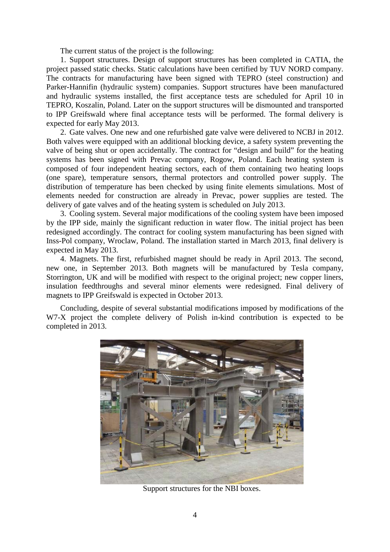The current status of the project is the following:

1. Support structures. Design of support structures has been completed in CATIA, the project passed static checks. Static calculations have been certified by TUV NORD company. The contracts for manufacturing have been signed with TEPRO (steel construction) and Parker-Hannifin (hydraulic system) companies. Support structures have been manufactured and hydraulic systems installed, the first acceptance tests are scheduled for April 10 in TEPRO, Koszalin, Poland. Later on the support structures will be dismounted and transported to IPP Greifswald where final acceptance tests will be performed. The formal delivery is expected for early May 2013.

2. Gate valves. One new and one refurbished gate valve were delivered to NCBJ in 2012. Both valves were equipped with an additional blocking device, a safety system preventing the valve of being shut or open accidentally. The contract for "design and build" for the heating systems has been signed with Prevac company, Rogow, Poland. Each heating system is composed of four independent heating sectors, each of them containing two heating loops (one spare), temperature sensors, thermal protectors and controlled power supply. The distribution of temperature has been checked by using finite elements simulations. Most of elements needed for construction are already in Prevac, power supplies are tested. The delivery of gate valves and of the heating system is scheduled on July 2013.

3. Cooling system. Several major modifications of the cooling system have been imposed by the IPP side, mainly the significant reduction in water flow. The initial project has been redesigned accordingly. The contract for cooling system manufacturing has been signed with Inss-Pol company, Wroclaw, Poland. The installation started in March 2013, final delivery is expected in May 2013.

4. Magnets. The first, refurbished magnet should be ready in April 2013. The second, new one, in September 2013. Both magnets will be manufactured by Tesla company, Storrington, UK and will be modified with respect to the original project; new copper liners, insulation feedthroughs and several minor elements were redesigned. Final delivery of magnets to IPP Greifswald is expected in October 2013.

Concluding, despite of several substantial modifications imposed by modifications of the W7-X project the complete delivery of Polish in-kind contribution is expected to be completed in 2013.



Support structures for the NBI boxes.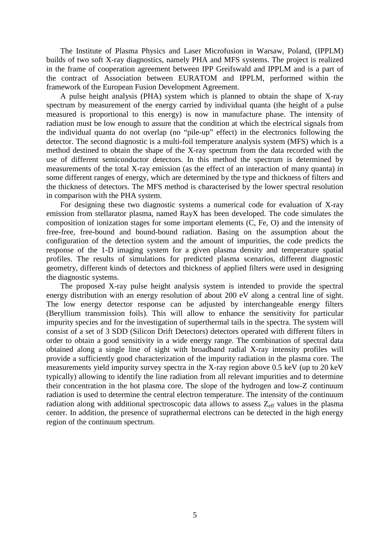The Institute of Plasma Physics and Laser Microfusion in Warsaw, Poland, (IPPLM) builds of two soft X-ray diagnostics, namely PHA and MFS systems. The project is realized in the frame of cooperation agreement between IPP Greifswald and IPPLM and is a part of the contract of Association between EURATOM and IPPLM, performed within the framework of the European Fusion Development Agreement.

A pulse height analysis (PHA) system which is planned to obtain the shape of X-ray spectrum by measurement of the energy carried by individual quanta (the height of a pulse measured is proportional to this energy) is now in manufacture phase. The intensity of radiation must be low enough to assure that the condition at which the electrical signals from the individual quanta do not overlap (no "pile-up" effect) in the electronics following the detector. The second diagnostic is a multi-foil temperature analysis system (MFS) which is a method destined to obtain the shape of the X-ray spectrum from the data recorded with the use of different semiconductor detectors. In this method the spectrum is determined by measurements of the total X-ray emission (as the effect of an interaction of many quanta) in some different ranges of energy, which are determined by the type and thickness of filters and the thickness of detectors. The MFS method is characterised by the lower spectral resolution in comparison with the PHA system.

For designing these two diagnostic systems a numerical code for evaluation of X-ray emission from stellarator plasma, named RayX has been developed. The code simulates the composition of ionization stages for some important elements (C, Fe, O) and the intensity of free-free, free-bound and bound-bound radiation. Basing on the assumption about the configuration of the detection system and the amount of impurities, the code predicts the response of the 1-D imaging system for a given plasma density and temperature spatial profiles. The results of simulations for predicted plasma scenarios, different diagnostic geometry, different kinds of detectors and thickness of applied filters were used in designing the diagnostic systems.

The proposed X-ray pulse height analysis system is intended to provide the spectral energy distribution with an energy resolution of about 200 eV along a central line of sight. The low energy detector response can be adjusted by interchangeable energy filters (Beryllium transmission foils). This will allow to enhance the sensitivity for particular impurity species and for the investigation of superthermal tails in the spectra. The system will consist of a set of 3 SDD (Silicon Drift Detectors) detectors operated with different filters in order to obtain a good sensitivity in a wide energy range. The combination of spectral data obtained along a single line of sight with broadband radial X-ray intensity profiles will provide a sufficiently good characterization of the impurity radiation in the plasma core. The measurements yield impurity survey spectra in the X-ray region above 0.5 keV (up to 20 keV typically) allowing to identify the line radiation from all relevant impurities and to determine their concentration in the hot plasma core. The slope of the hydrogen and low-Z continuum radiation is used to determine the central electron temperature. The intensity of the continuum radiation along with additional spectroscopic data allows to assess  $Z_{\text{eff}}$  values in the plasma center. In addition, the presence of suprathermal electrons can be detected in the high energy region of the continuum spectrum.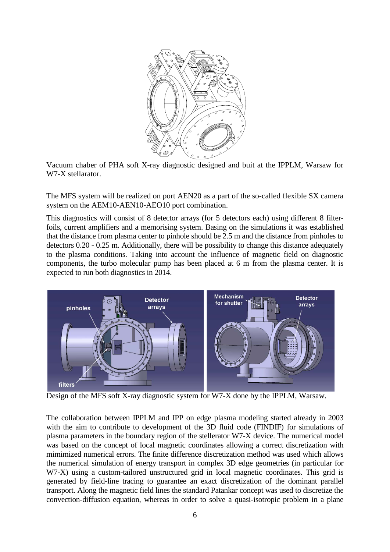

Vacuum chaber of PHA soft X-ray diagnostic designed and buit at the IPPLM, Warsaw for W7-X stellarator.

The MFS system will be realized on port AEN20 as a part of the so-called flexible SX camera system on the AEM10-AEN10-AEO10 port combination.

This diagnostics will consist of 8 detector arrays (for 5 detectors each) using different 8 filterfoils, current amplifiers and a memorising system. Basing on the simulations it was established that the distance from plasma center to pinhole should be 2.5 m and the distance from pinholes to detectors 0.20 - 0.25 m. Additionally, there will be possibility to change this distance adequately to the plasma conditions. Taking into account the influence of magnetic field on diagnostic components, the turbo molecular pump has been placed at 6 m from the plasma center. It is expected to run both diagnostics in 2014.



Design of the MFS soft X-ray diagnostic system for W7-X done by the IPPLM, Warsaw.

The collaboration between IPPLM and IPP on edge plasma modeling started already in 2003 with the aim to contribute to development of the 3D fluid code (FINDIF) for simulations of plasma parameters in the boundary region of the stellerator W7-X device. The numerical model was based on the concept of local magnetic coordinates allowing a correct discretization with mimimized numerical errors. The finite difference discretization method was used which allows the numerical simulation of energy transport in complex 3D edge geometries (in particular for W7-X) using a custom-tailored unstructured grid in local magnetic coordinates. This grid is generated by field-line tracing to guarantee an exact discretization of the dominant parallel transport. Along the magnetic field lines the standard Patankar concept was used to discretize the convection-diffusion equation, whereas in order to solve a quasi-isotropic problem in a plane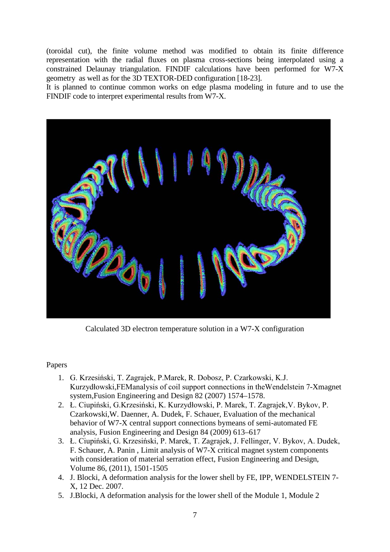(toroidal cut), the finite volume method was modified to obtain its finite difference representation with the radial fluxes on plasma cross-sections being interpolated using a constrained Delaunay triangulation. FINDIF calculations have been performed for W7-X geometry as well as for the 3D TEXTOR-DED configuration [18-23].

It is planned to continue common works on edge plasma modeling in future and to use the FINDIF code to interpret experimental results from W7-X.



Calculated 3D electron temperature solution in a W7-X configuration

## Papers

- 1. G. Krzesiński, T. Zagrajek, P.Marek, R. Dobosz, P. Czarkowski, K.J. Kurzydłowski,FEManalysis of coil support connections in theWendelstein 7-Xmagnet system,Fusion Engineering and Design 82 (2007) 1574–1578.
- 2. Ł. Ciupiński, G.Krzesiński, K. Kurzydłowski, P. Marek, T. Zagrajek,V. Bykov, P. Czarkowski,W. Daenner, A. Dudek, F. Schauer, Evaluation of the mechanical behavior of W7-X central support connections bymeans of semi-automated FE analysis, Fusion Engineering and Design 84 (2009) 613–617
- 3. Ł. Ciupiński, G. Krzesiński, P. Marek, T. Zagrajek, J. Fellinger, V. Bykov, A. Dudek, F. Schauer, A. Panin , Limit analysis of W7-X critical magnet system components with consideration of material serration effect, Fusion Engineering and Design, Volume 86, (2011), 1501-1505
- 4. J. Blocki, A deformation analysis for the lower shell by FE, IPP, WENDELSTEIN 7- X, 12 Dec. 2007.
- 5. J.Blocki, A deformation analysis for the lower shell of the Module 1, Module 2